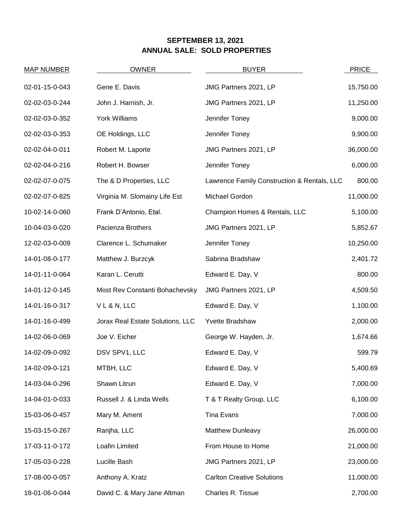## **SEPTEMBER 13, 2021 ANNUAL SALE: SOLD PROPERTIES**

| <b>MAP NUMBER</b> | <b>OWNER</b>                     | <b>BUYER</b>                                | <b>PRICE</b> |
|-------------------|----------------------------------|---------------------------------------------|--------------|
| 02-01-15-0-043    | Gene E. Davis                    | JMG Partners 2021, LP                       | 15,750.00    |
| 02-02-03-0-244    | John J. Harnish, Jr.             | JMG Partners 2021, LP                       | 11,250.00    |
| 02-02-03-0-352    | York Williams                    | Jennifer Toney                              | 9,000.00     |
| 02-02-03-0-353    | OE Holdings, LLC                 | Jennifer Toney                              | 9,900.00     |
| 02-02-04-0-011    | Robert M. Laporte                | JMG Partners 2021, LP                       | 36,000.00    |
| 02-02-04-0-216    | Robert H. Bowser                 | Jennifer Toney                              | 6,000.00     |
| 02-02-07-0-075    | The & D Properties, LLC          | Lawrence Family Construction & Rentals, LLC | 800.00       |
| 02-02-07-0-825    | Virginia M. Slomainy Life Est    | Michael Gordon                              | 11,000.00    |
| 10-02-14-0-060    | Frank D'Antonio, Etal.           | Champion Homes & Rentals, LLC               | 5,100.00     |
| 10-04-03-0-020    | Pacienza Brothers                | JMG Partners 2021, LP                       | 5,852.67     |
| 12-02-03-0-009    | Clarence L. Schumaker            | Jennifer Toney                              | 10,250.00    |
| 14-01-08-0-177    | Matthew J. Burzcyk               | Sabrina Bradshaw                            | 2,401.72     |
| 14-01-11-0-064    | Karan L. Cerutti                 | Edward E. Day, V                            | 800.00       |
| 14-01-12-0-145    | Most Rev Constanti Bohachevsky   | JMG Partners 2021, LP                       | 4,509.50     |
| 14-01-16-0-317    | VL&N, LLC                        | Edward E. Day, V                            | 1,100.00     |
| 14-01-16-0-499    | Jorax Real Estate Solutions, LLC | Yvette Bradshaw                             | 2,000.00     |
| 14-02-06-0-069    | Joe V. Eicher                    | George W. Hayden, Jr.                       | 1,674.66     |
| 14-02-09-0-092    | DSV SPV1, LLC                    | Edward E. Day, V                            | 599.79       |
| 14-02-09-0-121    | MTBH, LLC                        | Edward E. Day, V                            | 5,400.69     |
| 14-03-04-0-296    | Shawn Litrun                     | Edward E. Day, V                            | 7,000.00     |
| 14-04-01-0-033    | Russell J. & Linda Wells         | T & T Realty Group, LLC                     | 6,100.00     |
| 15-03-06-0-457    | Mary M. Ament                    | Tina Evans                                  | 7,000.00     |
| 15-03-15-0-267    | Ranjha, LLC                      | Matthew Dunleavy                            | 26,000.00    |
| 17-03-11-0-172    | Loafin Limited                   | From House to Home                          | 21,000.00    |
| 17-05-03-0-228    | Lucille Bash                     | JMG Partners 2021, LP                       | 23,000.00    |
| 17-08-00-0-057    | Anthony A. Kratz                 | <b>Carlton Creative Solutions</b>           | 11,000.00    |
| 18-01-06-0-044    | David C. & Mary Jane Altman      | Charles R. Tissue                           | 2,700.00     |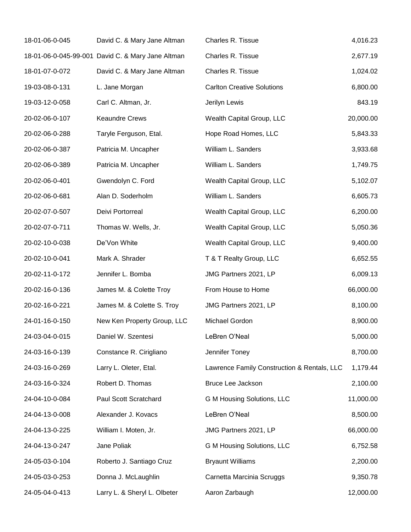| 18-01-06-0-045 | David C. & Mary Jane Altman                       | Charles R. Tissue                           | 4,016.23  |
|----------------|---------------------------------------------------|---------------------------------------------|-----------|
|                | 18-01-06-0-045-99-001 David C. & Mary Jane Altman | Charles R. Tissue                           | 2,677.19  |
| 18-01-07-0-072 | David C. & Mary Jane Altman                       | Charles R. Tissue                           | 1,024.02  |
| 19-03-08-0-131 | L. Jane Morgan                                    | <b>Carlton Creative Solutions</b>           | 6,800.00  |
| 19-03-12-0-058 | Carl C. Altman, Jr.                               | Jerilyn Lewis                               | 843.19    |
| 20-02-06-0-107 | <b>Keaundre Crews</b>                             | Wealth Capital Group, LLC                   | 20,000.00 |
| 20-02-06-0-288 | Taryle Ferguson, Etal.                            | Hope Road Homes, LLC                        | 5,843.33  |
| 20-02-06-0-387 | Patricia M. Uncapher                              | William L. Sanders                          | 3,933.68  |
| 20-02-06-0-389 | Patricia M. Uncapher                              | William L. Sanders                          | 1,749.75  |
| 20-02-06-0-401 | Gwendolyn C. Ford                                 | Wealth Capital Group, LLC                   | 5,102.07  |
| 20-02-06-0-681 | Alan D. Soderholm                                 | William L. Sanders                          | 6,605.73  |
| 20-02-07-0-507 | Deivi Portorreal                                  | Wealth Capital Group, LLC                   | 6,200.00  |
| 20-02-07-0-711 | Thomas W. Wells, Jr.                              | Wealth Capital Group, LLC                   | 5,050.36  |
| 20-02-10-0-038 | De'Von White                                      | Wealth Capital Group, LLC                   | 9,400.00  |
| 20-02-10-0-041 | Mark A. Shrader                                   | T & T Realty Group, LLC                     | 6,652.55  |
| 20-02-11-0-172 | Jennifer L. Bomba                                 | JMG Partners 2021, LP                       | 6,009.13  |
| 20-02-16-0-136 | James M. & Colette Troy                           | From House to Home                          | 66,000.00 |
| 20-02-16-0-221 | James M. & Colette S. Troy                        | JMG Partners 2021, LP                       | 8,100.00  |
| 24-01-16-0-150 | New Ken Property Group, LLC                       | Michael Gordon                              | 8,900.00  |
| 24-03-04-0-015 | Daniel W. Szentesi                                | LeBren O'Neal                               | 5,000.00  |
| 24-03-16-0-139 | Constance R. Cirigliano                           | Jennifer Toney                              | 8,700.00  |
| 24-03-16-0-269 | Larry L. Oleter, Etal.                            | Lawrence Family Construction & Rentals, LLC | 1,179.44  |
| 24-03-16-0-324 | Robert D. Thomas                                  | Bruce Lee Jackson                           | 2,100.00  |
| 24-04-10-0-084 | Paul Scott Scratchard                             | G M Housing Solutions, LLC                  | 11,000.00 |
| 24-04-13-0-008 | Alexander J. Kovacs                               | LeBren O'Neal                               | 8,500.00  |
| 24-04-13-0-225 | William I. Moten, Jr.                             | JMG Partners 2021, LP                       | 66,000.00 |
| 24-04-13-0-247 | Jane Poliak                                       | G M Housing Solutions, LLC                  | 6,752.58  |
| 24-05-03-0-104 | Roberto J. Santiago Cruz                          | <b>Bryaunt Williams</b>                     | 2,200.00  |
| 24-05-03-0-253 | Donna J. McLaughlin                               | Carnetta Marcinia Scruggs                   | 9,350.78  |
| 24-05-04-0-413 | Larry L. & Sheryl L. Olbeter                      | Aaron Zarbaugh                              | 12,000.00 |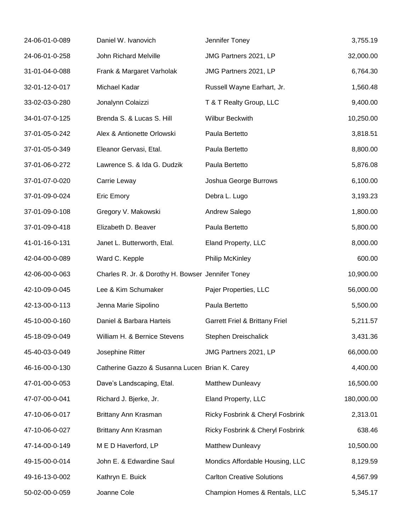| 24-06-01-0-089 | Daniel W. Ivanovich                               | Jennifer Toney                            | 3,755.19   |
|----------------|---------------------------------------------------|-------------------------------------------|------------|
| 24-06-01-0-258 | John Richard Melville                             | JMG Partners 2021, LP                     | 32,000.00  |
| 31-01-04-0-088 | Frank & Margaret Varholak                         | JMG Partners 2021, LP                     | 6,764.30   |
| 32-01-12-0-017 | Michael Kadar                                     | Russell Wayne Earhart, Jr.                | 1,560.48   |
| 33-02-03-0-280 | Jonalynn Colaizzi                                 | T & T Realty Group, LLC                   | 9,400.00   |
| 34-01-07-0-125 | Brenda S. & Lucas S. Hill                         | Wilbur Beckwith                           | 10,250.00  |
| 37-01-05-0-242 | Alex & Antionette Orlowski                        | Paula Bertetto                            | 3,818.51   |
| 37-01-05-0-349 | Eleanor Gervasi, Etal.                            | Paula Bertetto                            | 8,800.00   |
| 37-01-06-0-272 | Lawrence S. & Ida G. Dudzik                       | Paula Bertetto                            | 5,876.08   |
| 37-01-07-0-020 | Carrie Leway                                      | Joshua George Burrows                     | 6,100.00   |
| 37-01-09-0-024 | <b>Eric Emory</b>                                 | Debra L. Lugo                             | 3,193.23   |
| 37-01-09-0-108 | Gregory V. Makowski                               | Andrew Salego                             | 1,800.00   |
| 37-01-09-0-418 | Elizabeth D. Beaver                               | Paula Bertetto                            | 5,800.00   |
| 41-01-16-0-131 | Janet L. Butterworth, Etal.                       | Eland Property, LLC                       | 8,000.00   |
| 42-04-00-0-089 | Ward C. Kepple                                    | <b>Philip McKinley</b>                    | 600.00     |
| 42-06-00-0-063 | Charles R. Jr. & Dorothy H. Bowser Jennifer Toney |                                           | 10,900.00  |
| 42-10-09-0-045 | Lee & Kim Schumaker                               | Pajer Properties, LLC                     | 56,000.00  |
| 42-13-00-0-113 | Jenna Marie Sipolino                              | Paula Bertetto                            | 5,500.00   |
| 45-10-00-0-160 | Daniel & Barbara Harteis                          | <b>Garrett Friel &amp; Brittany Friel</b> | 5,211.57   |
| 45-18-09-0-049 | William H. & Bernice Stevens                      | Stephen Dreischalick                      | 3,431.36   |
| 45-40-03-0-049 | Josephine Ritter                                  | JMG Partners 2021, LP                     | 66,000.00  |
| 46-16-00-0-130 | Catherine Gazzo & Susanna Lucen Brian K. Carey    |                                           | 4,400.00   |
| 47-01-00-0-053 | Dave's Landscaping, Etal.                         | Matthew Dunleavy                          | 16,500.00  |
| 47-07-00-0-041 | Richard J. Bjerke, Jr.                            | Eland Property, LLC                       | 180,000.00 |
| 47-10-06-0-017 | Brittany Ann Krasman                              | Ricky Fosbrink & Cheryl Fosbrink          | 2,313.01   |
| 47-10-06-0-027 | Brittany Ann Krasman                              | Ricky Fosbrink & Cheryl Fosbrink          | 638.46     |
| 47-14-00-0-149 | M E D Haverford, LP                               | Matthew Dunleavy                          | 10,500.00  |
| 49-15-00-0-014 | John E. & Edwardine Saul                          | Mondics Affordable Housing, LLC           | 8,129.59   |
| 49-16-13-0-002 | Kathryn E. Buick                                  | <b>Carlton Creative Solutions</b>         | 4,567.99   |
| 50-02-00-0-059 | Joanne Cole                                       | Champion Homes & Rentals, LLC             | 5,345.17   |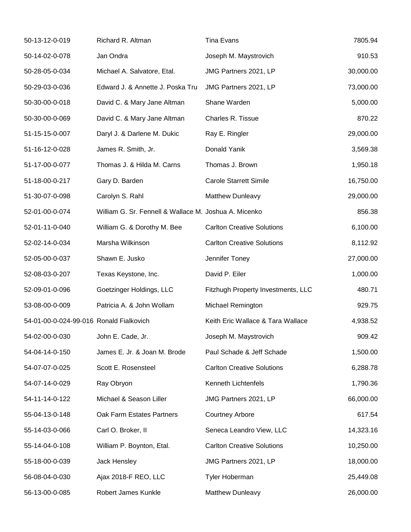| 50-13-12-0-019                          | Richard R. Altman                                     | <b>Tina Evans</b>                  | 7805.94   |
|-----------------------------------------|-------------------------------------------------------|------------------------------------|-----------|
| 50-14-02-0-078                          | Jan Ondra                                             | Joseph M. Maystrovich              | 910.53    |
| 50-28-05-0-034                          | Michael A. Salvatore, Etal.                           | JMG Partners 2021, LP              | 30,000.00 |
| 50-29-03-0-036                          | Edward J. & Annette J. Poska Tru                      | JMG Partners 2021, LP              | 73,000.00 |
| 50-30-00-0-018                          | David C. & Mary Jane Altman                           | Shane Warden                       | 5,000.00  |
| 50-30-00-0-069                          | David C. & Mary Jane Altman                           | Charles R. Tissue                  | 870.22    |
| 51-15-15-0-007                          | Daryl J. & Darlene M. Dukic                           | Ray E. Ringler                     | 29,000.00 |
| 51-16-12-0-028                          | James R. Smith, Jr.                                   | Donald Yanik                       | 3,569.38  |
| 51-17-00-0-077                          | Thomas J. & Hilda M. Carns                            | Thomas J. Brown                    | 1,950.18  |
| 51-18-00-0-217                          | Gary D. Barden                                        | <b>Carole Starrett Simile</b>      | 16,750.00 |
| 51-30-07-0-098                          | Carolyn S. Rahl                                       | Matthew Dunleavy                   | 29,000.00 |
| 52-01-00-0-074                          | William G. Sr. Fennell & Wallace M. Joshua A. Micenko |                                    | 856.38    |
| 52-01-11-0-040                          | William G. & Dorothy M. Bee                           | <b>Carlton Creative Solutions</b>  | 6,100.00  |
| 52-02-14-0-034                          | Marsha Wilkinson                                      | <b>Carlton Creative Solutions</b>  | 8,112.92  |
| 52-05-00-0-037                          | Shawn E. Jusko                                        | Jennifer Toney                     | 27,000.00 |
| 52-08-03-0-207                          | Texas Keystone, Inc.                                  | David P. Eiler                     | 1,000.00  |
| 52-09-01-0-096                          | Goetzinger Holdings, LLC                              | Fitzhugh Property Investments, LLC | 480.71    |
| 53-08-00-0-009                          | Patricia A. & John Wollam                             | Michael Remington                  | 929.75    |
| 54-01-00-0-024-99-016 Ronald Fialkovich |                                                       | Keith Eric Wallace & Tara Wallace  | 4,938.52  |
| 54-02-00-0-030                          | John E. Cade, Jr.                                     | Joseph M. Maystrovich              | 909.42    |
| 54-04-14-0-150                          | James E. Jr. & Joan M. Brode                          | Paul Schade & Jeff Schade          | 1,500.00  |
| 54-07-07-0-025                          | Scott E. Rosensteel                                   | <b>Carlton Creative Solutions</b>  | 6,288.78  |
| 54-07-14-0-029                          | Ray Obryon                                            | Kenneth Lichtenfels                | 1,790.36  |
| 54-11-14-0-122                          | Michael & Season Liller                               | JMG Partners 2021, LP              | 66,000.00 |
| 55-04-13-0-148                          | Oak Farm Estates Partners                             | <b>Courtney Arbore</b>             | 617.54    |
| 55-14-03-0-066                          | Carl O. Broker, II                                    | Seneca Leandro View, LLC           | 14,323.16 |
| 55-14-04-0-108                          | William P. Boynton, Etal.                             | <b>Carlton Creative Solutions</b>  | 10,250.00 |
| 55-18-00-0-039                          | Jack Hensley                                          | JMG Partners 2021, LP              | 18,000.00 |
| 56-08-04-0-030                          | Ajax 2018-F REO, LLC                                  | Tyler Hoberman                     | 25,449.08 |
| 56-13-00-0-085                          | Robert James Kunkle                                   | Matthew Dunleavy                   | 26,000.00 |